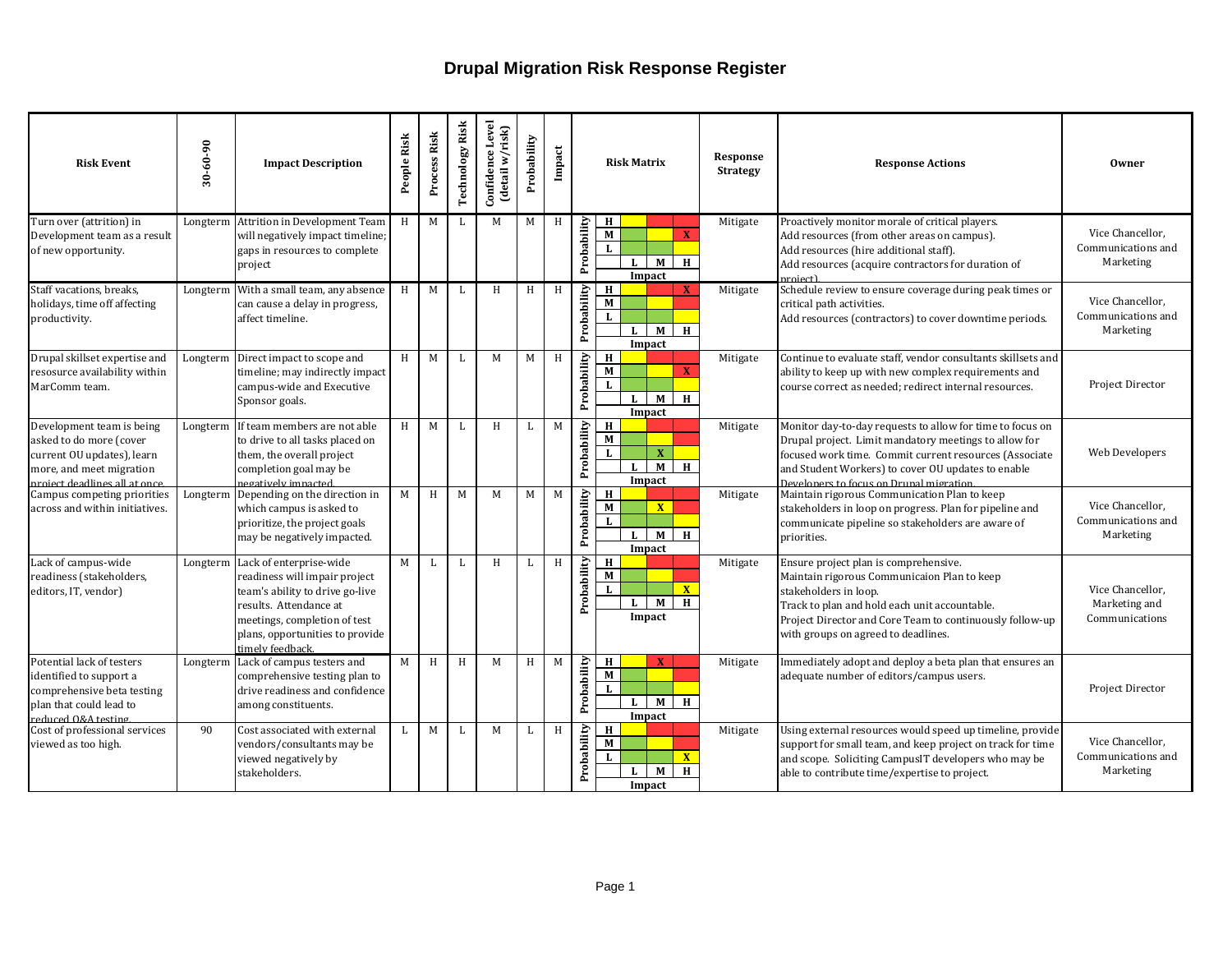## **Drupal Migration Risk Response Register**

| <b>Risk Event</b>                                                                                                                                | $30 - 60 - 90$ | <b>Impact Description</b>                                                                                                                                                                                    | People Risk | Process Risk | <b>Technology Risk</b> | $\begin{array}{ll} \text{Confidence Level} \\ \text{(detail w/risk)} \end{array}$ | Probability  | Impact |             | <b>Risk Matrix</b>                                                              | Response<br><b>Strategy</b> | <b>Response Actions</b>                                                                                                                                                                                                                                                       | <b>Owner</b>                                        |
|--------------------------------------------------------------------------------------------------------------------------------------------------|----------------|--------------------------------------------------------------------------------------------------------------------------------------------------------------------------------------------------------------|-------------|--------------|------------------------|-----------------------------------------------------------------------------------|--------------|--------|-------------|---------------------------------------------------------------------------------|-----------------------------|-------------------------------------------------------------------------------------------------------------------------------------------------------------------------------------------------------------------------------------------------------------------------------|-----------------------------------------------------|
| Turn over (attrition) in<br>Development team as a result<br>of new opportunity.                                                                  |                | Longterm Attrition in Development Team<br>will negatively impact timeline;<br>gaps in resources to complete<br>project                                                                                       | H           | M            | L                      | M                                                                                 | M            | H      | Probability | Н<br>$\mathbf{M}$<br>$\mathbf{x}$<br>L<br>H<br>M<br>L<br>Impact                 | Mitigate                    | Proactively monitor morale of critical players.<br>Add resources (from other areas on campus).<br>Add resources (hire additional staff).<br>Add resources (acquire contractors for duration of<br>nroiect)                                                                    | Vice Chancellor.<br>Communications and<br>Marketing |
| Staff vacations, breaks,<br>holidays, time off affecting<br>productivity.                                                                        | Longterm       | With a small team, any absence<br>can cause a delay in progress,<br>affect timeline.                                                                                                                         | H           | M            | L                      | H                                                                                 | H            | H      | Probability | H<br>$\mathbf{X}$<br>M<br>$\mathbf{L}$<br>$\overline{M}$<br>H<br>Impact         | Mitigate                    | Schedule review to ensure coverage during peak times or<br>critical path activities.<br>Add resources (contractors) to cover downtime periods.                                                                                                                                | Vice Chancellor.<br>Communications and<br>Marketing |
| Drupal skillset expertise and<br>resosurce availability within<br>MarComm team.                                                                  |                | Longterm Direct impact to scope and<br>timeline; may indirectly impact<br>campus-wide and Executive<br>Sponsor goals.                                                                                        | H           | M            | L                      | M                                                                                 | M            | H      | Probability | H<br>M<br>$\mathbf{X}$<br>$\mathbf{L}$<br>M<br>H<br>L<br>Impact                 | Mitigate                    | Continue to evaluate staff, vendor consultants skillsets and<br>ability to keep up with new complex requirements and<br>course correct as needed; redirect internal resources.                                                                                                | Project Director                                    |
| Development team is being<br>asked to do more (cover<br>current OU updates), learn<br>more, and meet migration<br>project deadlines all at once. |                | Longterm If team members are not able<br>to drive to all tasks placed on<br>them, the overall project<br>completion goal may be<br>negatively impacted                                                       | H           | M            | L                      | H                                                                                 | L            | M      | Probability | H<br>$M$<br>$\mathbf{L}$<br>$\mathbf{X}$<br>M<br>H<br>Н.<br>Impact              | Mitigate                    | Monitor day-to-day requests to allow for time to focus on<br>Drupal project. Limit mandatory meetings to allow for<br>focused work time. Commit current resources (Associate<br>and Student Workers) to cover OU updates to enable<br>Developers to focus on Drunal migration | Web Developers                                      |
| Campus competing priorities<br>across and within initiatives.                                                                                    |                | Longterm Depending on the direction in<br>which campus is asked to<br>prioritize, the project goals<br>may be negatively impacted.                                                                           | M           | H            | M                      | M                                                                                 | M            | M      | Probability | H<br>M<br>$\mathbf{x}$<br>L<br>H<br>M<br>L<br>Impact                            | Mitigate                    | Maintain rigorous Communication Plan to keep<br>stakeholders in loop on progress. Plan for pipeline and<br>communicate pipeline so stakeholders are aware of<br>priorities.                                                                                                   | Vice Chancellor.<br>Communications and<br>Marketing |
| Lack of campus-wide<br>readiness (stakeholders,<br>editors, IT, vendor)                                                                          | Longterm       | Lack of enterprise-wide<br>readiness will impair project<br>team's ability to drive go-live<br>results. Attendance at<br>meetings, completion of test<br>plans, opportunities to provide<br>timely feedback. | M           | L            | L                      | H                                                                                 | $\mathbf{L}$ | H      | Probability | H<br>$\mathbf M$<br>$\overline{\mathbf{X}}$<br>$\mathbf{L}$<br>H<br>M<br>Impact | Mitigate                    | Ensure project plan is comprehensive.<br>Maintain rigorous Communicaion Plan to keep<br>stakeholders in loop.<br>Track to plan and hold each unit accountable.<br>Project Director and Core Team to continuously follow-up<br>with groups on agreed to deadlines.             | Vice Chancellor,<br>Marketing and<br>Communications |
| Potential lack of testers<br>identified to support a<br>comprehensive beta testing<br>plan that could lead to<br>reduced 0&A testing             |                | Longterm Lack of campus testers and<br>comprehensive testing plan to<br>drive readiness and confidence<br>among constituents.                                                                                | M           | H            | H                      | M                                                                                 | H            | M      | Probability | H<br>Y<br>M<br>L<br>$\mathbf{M}$<br>H<br>Impact                                 | Mitigate                    | Immediately adopt and deploy a beta plan that ensures an<br>adequate number of editors/campus users.                                                                                                                                                                          | Project Director                                    |
| Cost of professional services<br>viewed as too high.                                                                                             | 90             | Cost associated with external<br>vendors/consultants may be<br>viewed negatively by<br>stakeholders.                                                                                                         | L           | M            |                        | M                                                                                 | L            | H      | Probability | H<br>M<br>$\mathbf{X}$<br>L<br>M<br>H<br>L<br>Impact                            | Mitigate                    | Using external resources would speed up timeline, provide<br>support for small team, and keep project on track for time<br>and scope. Soliciting CampusIT developers who may be<br>able to contribute time/expertise to project.                                              | Vice Chancellor,<br>Communications and<br>Marketing |